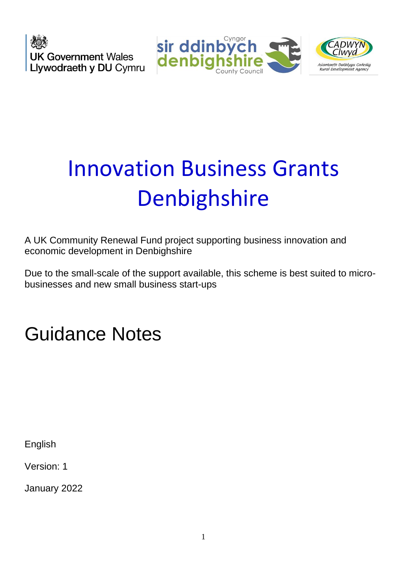**UK Government Wales** Llywodraeth y DU Cymru





# Innovation Business Grants **Denbighshire**

A UK Community Renewal Fund project supporting business innovation and economic development in Denbighshire

Due to the small-scale of the support available, this scheme is best suited to microbusinesses and new small business start-ups

Guidance Notes

English

Version: 1

January 2022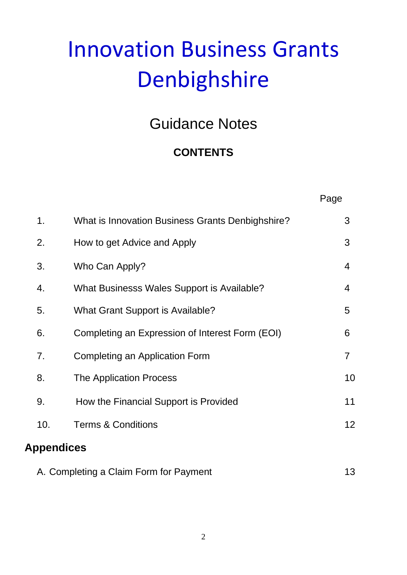# Innovation Business Grants Denbighshire

# Guidance Notes

# **CONTENTS**

|                                              |                                                  | Page           |  |  |
|----------------------------------------------|--------------------------------------------------|----------------|--|--|
| 1.                                           | What is Innovation Business Grants Denbighshire? | 3              |  |  |
| 2.                                           | How to get Advice and Apply                      | 3              |  |  |
| 3.                                           | Who Can Apply?                                   | 4              |  |  |
| 4.                                           | What Businesss Wales Support is Available?       | 4              |  |  |
| 5.                                           | <b>What Grant Support is Available?</b>          | 5              |  |  |
| 6.                                           | Completing an Expression of Interest Form (EOI)  | 6              |  |  |
| 7.                                           | <b>Completing an Application Form</b>            | $\overline{7}$ |  |  |
| 8.                                           | The Application Process                          | 10             |  |  |
| 9.                                           | How the Financial Support is Provided            | 11             |  |  |
| 10.                                          | <b>Terms &amp; Conditions</b>                    | 12             |  |  |
| <b>Appendices</b>                            |                                                  |                |  |  |
| 13<br>A. Completing a Claim Form for Payment |                                                  |                |  |  |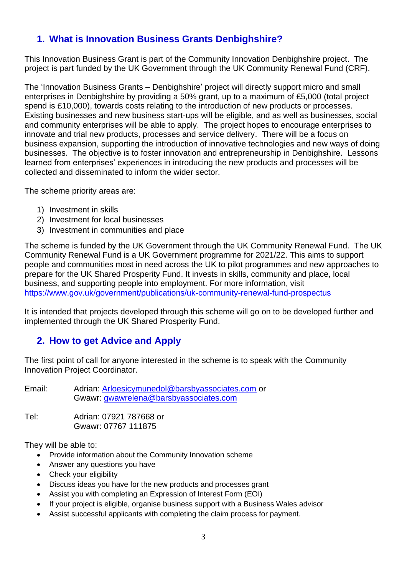# **1. What is Innovation Business Grants Denbighshire?**

This Innovation Business Grant is part of the Community Innovation Denbighshire project. The project is part funded by the UK Government through the UK Community Renewal Fund (CRF).

The 'Innovation Business Grants – Denbighshire' project will directly support micro and small enterprises in Denbighshire by providing a 50% grant, up to a maximum of £5,000 (total project spend is £10,000), towards costs relating to the introduction of new products or processes. Existing businesses and new business start-ups will be eligible, and as well as businesses, social and community enterprises will be able to apply. The project hopes to encourage enterprises to innovate and trial new products, processes and service delivery. There will be a focus on business expansion, supporting the introduction of innovative technologies and new ways of doing businesses. The objective is to foster innovation and entrepreneurship in Denbighshire. Lessons learned from enterprises' experiences in introducing the new products and processes will be collected and disseminated to inform the wider sector.

The scheme priority areas are:

- 1) Investment in skills
- 2) Investment for local businesses
- 3) Investment in communities and place

The scheme is funded by the UK Government through the UK Community Renewal Fund. The UK Community Renewal Fund is a UK Government programme for 2021/22. This aims to support people and communities most in need across the UK to pilot programmes and new approaches to prepare for the UK Shared Prosperity Fund. It invests in skills, community and place, local business, and supporting people into employment. For more information, visit <https://www.gov.uk/government/publications/uk-community-renewal-fund-prospectus>

It is intended that projects developed through this scheme will go on to be developed further and implemented through the UK Shared Prosperity Fund.

## **2. How to get Advice and Apply**

The first point of call for anyone interested in the scheme is to speak with the Community Innovation Project Coordinator.

Email: Adrian: [Arloesicymunedol@barsbyassociates.com](mailto:Arloesicymunedol@barsbyassociates.com) or Gwawr: [gwawrelena@barsbyassociates.com](mailto:gwawrelena@barsbyassociates.com)

Tel: Adrian: 07921 787668 or Gwawr: 07767 111875

They will be able to:

- Provide information about the Community Innovation scheme
- Answer any questions you have
- Check your eligibility
- Discuss ideas you have for the new products and processes grant
- Assist you with completing an Expression of Interest Form (EOI)
- If your project is eligible, organise business support with a Business Wales advisor
- Assist successful applicants with completing the claim process for payment.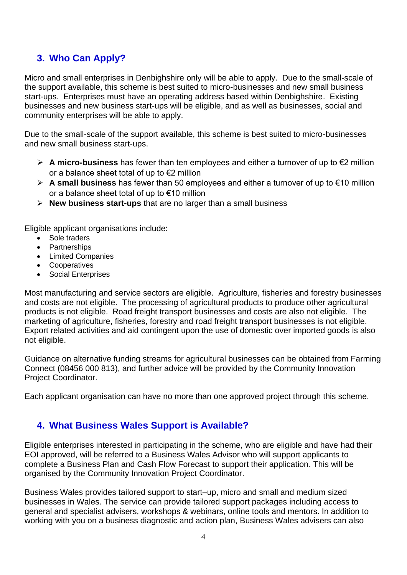# **3. Who Can Apply?**

Micro and small enterprises in Denbighshire only will be able to apply. Due to the small-scale of the support available, this scheme is best suited to micro-businesses and new small business start-ups. Enterprises must have an operating address based within Denbighshire. Existing businesses and new business start-ups will be eligible, and as well as businesses, social and community enterprises will be able to apply.

Due to the small-scale of the support available, this scheme is best suited to micro-businesses and new small business start-ups.

- ➢ **A micro-business** has fewer than ten employees and either a turnover of up to €2 million or a balance sheet total of up to €2 million
- ➢ **A small business** has fewer than 50 employees and either a turnover of up to €10 million or a balance sheet total of up to €10 million
- ➢ **New business start-ups** that are no larger than a small business

Eligible applicant organisations include:

- Sole traders
- Partnerships
- Limited Companies
- Cooperatives
- Social Enterprises

Most manufacturing and service sectors are eligible. Agriculture, fisheries and forestry businesses and costs are not eligible. The processing of agricultural products to produce other agricultural products is not eligible. Road freight transport businesses and costs are also not eligible. The marketing of agriculture, fisheries, forestry and road freight transport businesses is not eligible. Export related activities and aid contingent upon the use of domestic over imported goods is also not eligible.

Guidance on alternative funding streams for agricultural businesses can be obtained from Farming Connect (08456 000 813), and further advice will be provided by the Community Innovation Project Coordinator.

Each applicant organisation can have no more than one approved project through this scheme.

## **4. What Business Wales Support is Available?**

Eligible enterprises interested in participating in the scheme, who are eligible and have had their EOI approved, will be referred to a Business Wales Advisor who will support applicants to complete a Business Plan and Cash Flow Forecast to support their application. This will be organised by the Community Innovation Project Coordinator.

Business Wales provides tailored support to start–up, micro and small and medium sized businesses in Wales. The service can provide tailored support packages including access to general and specialist advisers, workshops & webinars, online tools and mentors. In addition to working with you on a business diagnostic and action plan, Business Wales advisers can also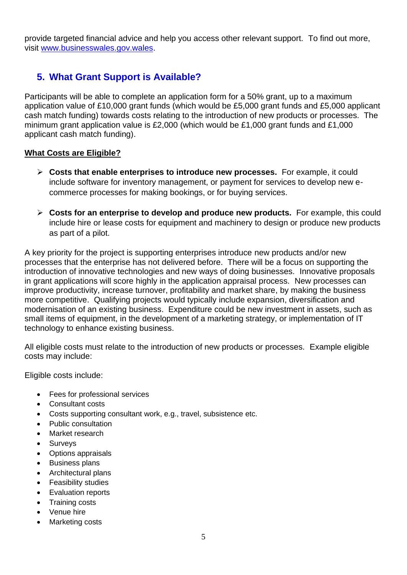provide targeted financial advice and help you access other relevant support. To find out more, visit [www.businesswales.gov.wales.](file:///C:/Users/DonnaHughes/AppData/Local/Microsoft/Windows/INetCache/Content.Outlook/PHJ8C8IG/www.businesswales.gov.wales)

# **5. What Grant Support is Available?**

Participants will be able to complete an application form for a 50% grant, up to a maximum application value of £10,000 grant funds (which would be £5,000 grant funds and £5,000 applicant cash match funding) towards costs relating to the introduction of new products or processes. The minimum grant application value is £2,000 (which would be £1,000 grant funds and £1,000 applicant cash match funding).

#### **What Costs are Eligible?**

- ➢ **Costs that enable enterprises to introduce new processes.** For example, it could include software for inventory management, or payment for services to develop new ecommerce processes for making bookings, or for buying services.
- ➢ **Costs for an enterprise to develop and produce new products.** For example, this could include hire or lease costs for equipment and machinery to design or produce new products as part of a pilot.

A key priority for the project is supporting enterprises introduce new products and/or new processes that the enterprise has not delivered before. There will be a focus on supporting the introduction of innovative technologies and new ways of doing businesses. Innovative proposals in grant applications will score highly in the application appraisal process. New processes can improve productivity, increase turnover, profitability and market share, by making the business more competitive. Qualifying projects would typically include expansion, diversification and modernisation of an existing business. Expenditure could be new investment in assets, such as small items of equipment, in the development of a marketing strategy, or implementation of IT technology to enhance existing business.

All eligible costs must relate to the introduction of new products or processes. Example eligible costs may include:

Eligible costs include:

- Fees for professional services
- Consultant costs
- Costs supporting consultant work, e.g., travel, subsistence etc.
- Public consultation
- Market research
- **Surveys**
- Options appraisals
- Business plans
- Architectural plans
- Feasibility studies
- Evaluation reports
- Training costs
- Venue hire
- Marketing costs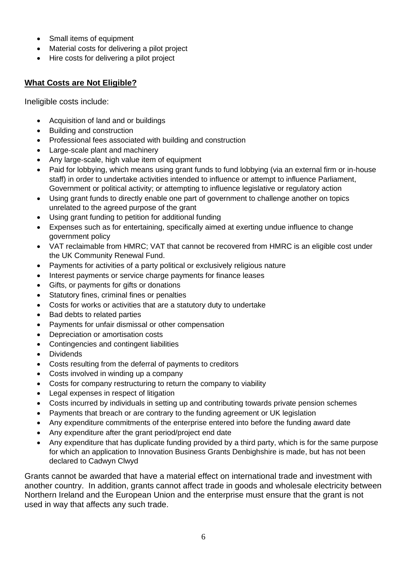- Small items of equipment
- Material costs for delivering a pilot project
- Hire costs for delivering a pilot project

#### **What Costs are Not Eligible?**

Ineligible costs include:

- Acquisition of land and or buildings
- Building and construction
- Professional fees associated with building and construction
- Large-scale plant and machinery
- Any large-scale, high value item of equipment
- Paid for lobbying, which means using grant funds to fund lobbying (via an external firm or in-house staff) in order to undertake activities intended to influence or attempt to influence Parliament, Government or political activity; or attempting to influence legislative or regulatory action
- Using grant funds to directly enable one part of government to challenge another on topics unrelated to the agreed purpose of the grant
- Using grant funding to petition for additional funding
- Expenses such as for entertaining, specifically aimed at exerting undue influence to change government policy
- VAT reclaimable from HMRC; VAT that cannot be recovered from HMRC is an eligible cost under the UK Community Renewal Fund.
- Payments for activities of a party political or exclusively religious nature
- Interest payments or service charge payments for finance leases
- Gifts, or payments for gifts or donations
- Statutory fines, criminal fines or penalties
- Costs for works or activities that are a statutory duty to undertake
- Bad debts to related parties
- Payments for unfair dismissal or other compensation
- Depreciation or amortisation costs
- Contingencies and contingent liabilities
- Dividends
- Costs resulting from the deferral of payments to creditors
- Costs involved in winding up a company
- Costs for company restructuring to return the company to viability
- Legal expenses in respect of litigation
- Costs incurred by individuals in setting up and contributing towards private pension schemes
- Payments that breach or are contrary to the funding agreement or UK legislation
- Any expenditure commitments of the enterprise entered into before the funding award date
- Any expenditure after the grant period/project end date
- Any expenditure that has duplicate funding provided by a third party, which is for the same purpose for which an application to Innovation Business Grants Denbighshire is made, but has not been declared to Cadwyn Clwyd

Grants cannot be awarded that have a material effect on international trade and investment with another country. In addition, grants cannot affect trade in goods and wholesale electricity between Northern Ireland and the European Union and the enterprise must ensure that the grant is not used in way that affects any such trade.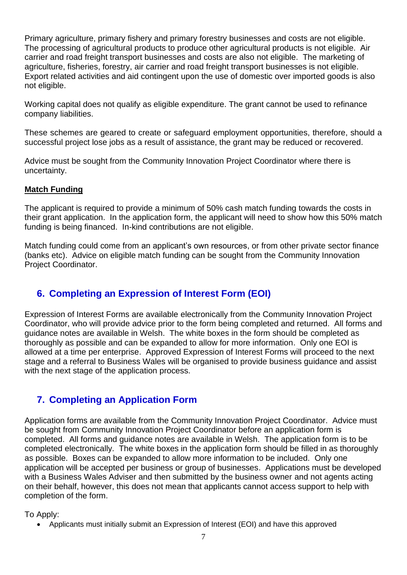Primary agriculture, primary fishery and primary forestry businesses and costs are not eligible. The processing of agricultural products to produce other agricultural products is not eligible. Air carrier and road freight transport businesses and costs are also not eligible. The marketing of agriculture, fisheries, forestry, air carrier and road freight transport businesses is not eligible. Export related activities and aid contingent upon the use of domestic over imported goods is also not eligible.

Working capital does not qualify as eligible expenditure. The grant cannot be used to refinance company liabilities.

These schemes are geared to create or safeguard employment opportunities, therefore, should a successful project lose jobs as a result of assistance, the grant may be reduced or recovered.

Advice must be sought from the Community Innovation Project Coordinator where there is uncertainty.

#### **Match Funding**

The applicant is required to provide a minimum of 50% cash match funding towards the costs in their grant application. In the application form, the applicant will need to show how this 50% match funding is being financed. In-kind contributions are not eligible.

Match funding could come from an applicant's own resources, or from other private sector finance (banks etc). Advice on eligible match funding can be sought from the Community Innovation Project Coordinator.

# **6. Completing an Expression of Interest Form (EOI)**

Expression of Interest Forms are available electronically from the Community Innovation Project Coordinator, who will provide advice prior to the form being completed and returned. All forms and guidance notes are available in Welsh. The white boxes in the form should be completed as thoroughly as possible and can be expanded to allow for more information. Only one EOI is allowed at a time per enterprise. Approved Expression of Interest Forms will proceed to the next stage and a referral to Business Wales will be organised to provide business guidance and assist with the next stage of the application process.

## **7. Completing an Application Form**

Application forms are available from the Community Innovation Project Coordinator. Advice must be sought from Community Innovation Project Coordinator before an application form is completed. All forms and guidance notes are available in Welsh. The application form is to be completed electronically. The white boxes in the application form should be filled in as thoroughly as possible. Boxes can be expanded to allow more information to be included. Only one application will be accepted per business or group of businesses. Applications must be developed with a Business Wales Adviser and then submitted by the business owner and not agents acting on their behalf, however, this does not mean that applicants cannot access support to help with completion of the form.

#### To Apply:

• Applicants must initially submit an Expression of Interest (EOI) and have this approved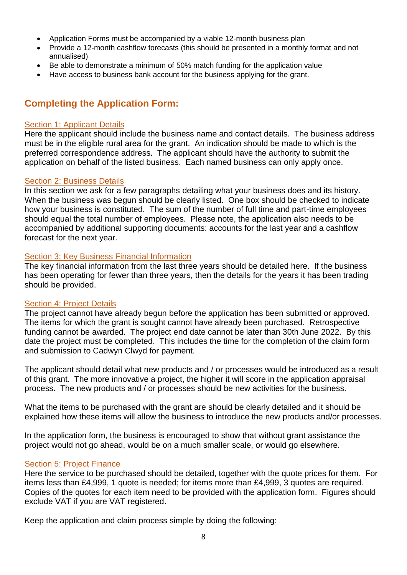- Application Forms must be accompanied by a viable 12-month business plan
- Provide a 12-month cashflow forecasts (this should be presented in a monthly format and not annualised)
- Be able to demonstrate a minimum of 50% match funding for the application value
- Have access to business bank account for the business applying for the grant.

# **Completing the Application Form:**

#### Section 1: Applicant Details

Here the applicant should include the business name and contact details. The business address must be in the eligible rural area for the grant. An indication should be made to which is the preferred correspondence address. The applicant should have the authority to submit the application on behalf of the listed business. Each named business can only apply once.

#### Section 2: Business Details

In this section we ask for a few paragraphs detailing what your business does and its history. When the business was begun should be clearly listed. One box should be checked to indicate how your business is constituted. The sum of the number of full time and part-time employees should equal the total number of employees. Please note, the application also needs to be accompanied by additional supporting documents: accounts for the last year and a cashflow forecast for the next year.

#### Section 3: Key Business Financial Information

The key financial information from the last three years should be detailed here. If the business has been operating for fewer than three years, then the details for the years it has been trading should be provided.

#### Section 4: Project Details

The project cannot have already begun before the application has been submitted or approved. The items for which the grant is sought cannot have already been purchased. Retrospective funding cannot be awarded. The project end date cannot be later than 30th June 2022. By this date the project must be completed. This includes the time for the completion of the claim form and submission to Cadwyn Clwyd for payment.

The applicant should detail what new products and / or processes would be introduced as a result of this grant. The more innovative a project, the higher it will score in the application appraisal process. The new products and / or processes should be new activities for the business.

What the items to be purchased with the grant are should be clearly detailed and it should be explained how these items will allow the business to introduce the new products and/or processes.

In the application form, the business is encouraged to show that without grant assistance the project would not go ahead, would be on a much smaller scale, or would go elsewhere.

#### **Section 5: Project Finance**

Here the service to be purchased should be detailed, together with the quote prices for them. For items less than £4,999, 1 quote is needed; for items more than £4,999, 3 quotes are required. Copies of the quotes for each item need to be provided with the application form. Figures should exclude VAT if you are VAT registered.

Keep the application and claim process simple by doing the following: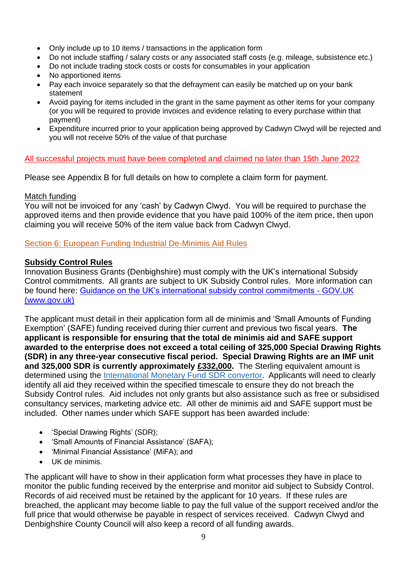- Only include up to 10 items / transactions in the application form
- Do not include staffing / salary costs or any associated staff costs (e.g. mileage, subsistence etc.)
- Do not include trading stock costs or costs for consumables in your application
- No apportioned items
- Pay each invoice separately so that the defrayment can easily be matched up on your bank statement
- Avoid paying for items included in the grant in the same payment as other items for your company (or you will be required to provide invoices and evidence relating to every purchase within that payment)
- Expenditure incurred prior to your application being approved by Cadwyn Clwyd will be rejected and you will not receive 50% of the value of that purchase

#### All successful projects must have been completed and claimed no later than 15th June 2022

Please see Appendix B for full details on how to complete a claim form for payment.

#### Match funding

You will not be invoiced for any 'cash' by Cadwyn Clwyd. You will be required to purchase the approved items and then provide evidence that you have paid 100% of the item price, then upon claiming you will receive 50% of the item value back from Cadwyn Clwyd.

Section 6: European Funding Industrial De-Minimis Aid Rules

#### **Subsidy Control Rules**

Innovation Business Grants (Denbighshire) must comply with the UK's international Subsidy Control commitments. All grants are subject to UK Subsidy Control rules. More information can be found here: [Guidance on the UK's international subsidy control commitments -](https://www.gov.uk/government/publications/complying-with-the-uks-international-obligations-on-subsidy-control-guidance-for-public-authorities/technical-guidance-on-the-uks-international-subsidy-control-commitments) GOV.UK [\(www.gov.uk\)](https://www.gov.uk/government/publications/complying-with-the-uks-international-obligations-on-subsidy-control-guidance-for-public-authorities/technical-guidance-on-the-uks-international-subsidy-control-commitments)

The applicant must detail in their application form all de minimis and 'Small Amounts of Funding Exemption' (SAFE) funding received during thier current and previous two fiscal years. **The applicant is responsible for ensuring that the total de minimis aid and SAFE support awarded to the enterprise does not exceed a total ceiling of 325,000 Special Drawing Rights (SDR) in any three-year consecutive fiscal period. Special Drawing Rights are an IMF unit and 325,000 SDR is currently approximately £332,000.** The Sterling equivalent amount is determined using the [International Monetary Fund SDR convertor.](https://www.imf.org/external/np/fin/data/rms_five.aspx) Applicants will need to clearly identify all aid they received within the specified timescale to ensure they do not breach the Subsidy Control rules. Aid includes not only grants but also assistance such as free or subsidised consultancy services, marketing advice etc. All other de minimis aid and SAFE support must be included. Other names under which SAFE support has been awarded include:

- 'Special Drawing Rights' (SDR);
- 'Small Amounts of Financial Assistance' (SAFA);
- 'Minimal Financial Assistance' (MiFA); and
- UK de minimis.

The applicant will have to show in their application form what processes they have in place to monitor the public funding received by the enterprise and monitor aid subject to Subsidy Control. Records of aid received must be retained by the applicant for 10 years. If these rules are breached, the applicant may become liable to pay the full value of the support received and/or the full price that would otherwise be payable in respect of services received. Cadwyn Clwyd and Denbighshire County Council will also keep a record of all funding awards.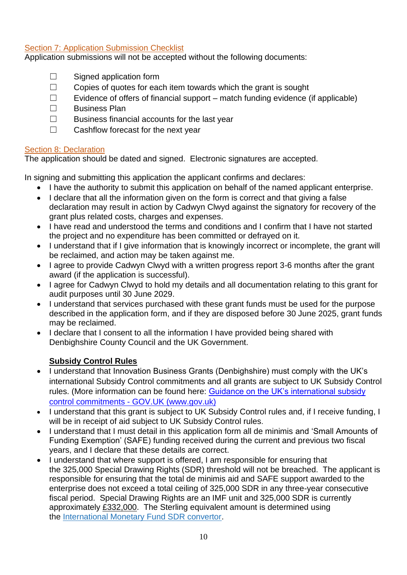#### Section 7: Application Submission Checklist

Application submissions will not be accepted without the following documents:

- $\Box$  Signed application form
- ☐ Copies of quotes for each item towards which the grant is sought
- $\Box$  Evidence of offers of financial support match funding evidence (if applicable)
- ☐ Business Plan
- $\Box$  Business financial accounts for the last year
- ☐ Cashflow forecast for the next year

#### **Section 8: Declaration**

The application should be dated and signed. Electronic signatures are accepted.

In signing and submitting this application the applicant confirms and declares:

- I have the authority to submit this application on behalf of the named applicant enterprise.
- I declare that all the information given on the form is correct and that giving a false declaration may result in action by Cadwyn Clwyd against the signatory for recovery of the grant plus related costs, charges and expenses.
- I have read and understood the terms and conditions and I confirm that I have not started the project and no expenditure has been committed or defrayed on it.
- I understand that if I give information that is knowingly incorrect or incomplete, the grant will be reclaimed, and action may be taken against me.
- I agree to provide Cadwyn Clwyd with a written progress report 3-6 months after the grant award (if the application is successful).
- I agree for Cadwyn Clwyd to hold my details and all documentation relating to this grant for audit purposes until 30 June 2029.
- I understand that services purchased with these grant funds must be used for the purpose described in the application form, and if they are disposed before 30 June 2025, grant funds may be reclaimed.
- I declare that I consent to all the information I have provided being shared with Denbighshire County Council and the UK Government.

#### **Subsidy Control Rules**

- I understand that Innovation Business Grants (Denbighshire) must comply with the UK's international Subsidy Control commitments and all grants are subject to UK Subsidy Control rules. (More information can be found here: Guidance on the UK's international subsidy control commitments - [GOV.UK \(www.gov.uk\)](https://www.gov.uk/government/publications/complying-with-the-uks-international-obligations-on-subsidy-control-guidance-for-public-authorities/technical-guidance-on-the-uks-international-subsidy-control-commitments)
- I understand that this grant is subject to UK Subsidy Control rules and, if I receive funding, I will be in receipt of aid subject to UK Subsidy Control rules.
- I understand that I must detail in this application form all de minimis and 'Small Amounts of Funding Exemption' (SAFE) funding received during the current and previous two fiscal years, and I declare that these details are correct.
- I understand that where support is offered, I am responsible for ensuring that the 325,000 Special Drawing Rights (SDR) threshold will not be breached. The applicant is responsible for ensuring that the total de minimis aid and SAFE support awarded to the enterprise does not exceed a total ceiling of 325,000 SDR in any three-year consecutive fiscal period. Special Drawing Rights are an IMF unit and 325,000 SDR is currently approximately £332,000. The Sterling equivalent amount is determined using the [International Monetary Fund SDR convertor.](https://www.imf.org/external/np/fin/data/rms_five.aspx)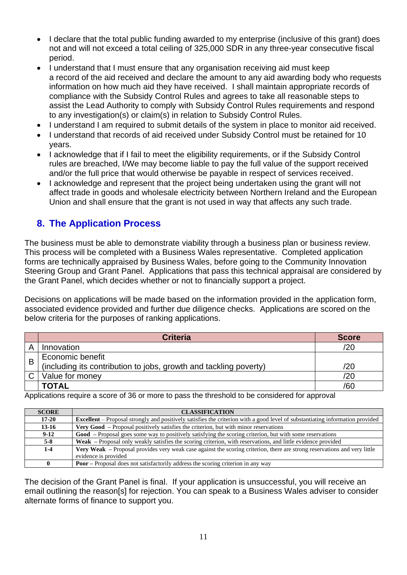- I declare that the total public funding awarded to my enterprise (inclusive of this grant) does not and will not exceed a total ceiling of 325,000 SDR in any three-year consecutive fiscal period.
- I understand that I must ensure that any organisation receiving aid must keep a record of the aid received and declare the amount to any aid awarding body who requests information on how much aid they have received. I shall maintain appropriate records of compliance with the Subsidy Control Rules and agrees to take all reasonable steps to assist the Lead Authority to comply with Subsidy Control Rules requirements and respond to any investigation(s) or claim(s) in relation to Subsidy Control Rules.
- I understand I am required to submit details of the system in place to monitor aid received.
- I understand that records of aid received under Subsidy Control must be retained for 10 years.
- I acknowledge that if I fail to meet the eligibility requirements, or if the Subsidy Control rules are breached, I/We may become liable to pay the full value of the support received and/or the full price that would otherwise be payable in respect of services received.
- I acknowledge and represent that the project being undertaken using the grant will not affect trade in goods and wholesale electricity between Northern Ireland and the European Union and shall ensure that the grant is not used in way that affects any such trade.

# **8. The Application Process**

The business must be able to demonstrate viability through a business plan or business review. This process will be completed with a Business Wales representative. Completed application forms are technically appraised by Business Wales, before going to the Community Innovation Steering Group and Grant Panel. Applications that pass this technical appraisal are considered by the Grant Panel, which decides whether or not to financially support a project.

Decisions on applications will be made based on the information provided in the application form, associated evidence provided and further due diligence checks. Applications are scored on the below criteria for the purposes of ranking applications.

|   | <b>Criteria</b>                                                   | <b>Score</b> |
|---|-------------------------------------------------------------------|--------------|
|   | Innovation                                                        | 20           |
| B | Economic benefit                                                  |              |
|   | (including its contribution to jobs, growth and tackling poverty) | '20          |
|   | Value for money                                                   | ′20          |
|   | <b>TOTAL</b>                                                      | /60          |

Applications require a score of 36 or more to pass the threshold to be considered for approval

| <b>SCORE</b> | <b>CLASSIFICATION</b>                                                                                                                |  |
|--------------|--------------------------------------------------------------------------------------------------------------------------------------|--|
| $17 - 20$    | <b>Excellent</b> – Proposal strongly and positively satisfies the criterion with a good level of substantiating information provided |  |
| $13-16$      | <b>Very Good</b> – Proposal positively satisfies the criterion, but with minor reservations                                          |  |
| $9-12$       | <b>Good</b> – Proposal goes some way to positively satisfying the scoring criterion, but with some reservations                      |  |
| $5-8$        | <b>Weak</b> – Proposal only weakly satisfies the scoring criterion, with reservations, and little evidence provided                  |  |
| $1 - 4$      | Very Weak – Proposal provides very weak case against the scoring criterion, there are strong reservations and very little            |  |
|              | evidence is provided                                                                                                                 |  |
|              | <b>Poor</b> – Proposal does not satisfactorily address the scoring criterion in any way                                              |  |

The decision of the Grant Panel is final. If your application is unsuccessful, you will receive an email outlining the reason[s] for rejection. You can speak to a Business Wales adviser to consider alternate forms of finance to support you.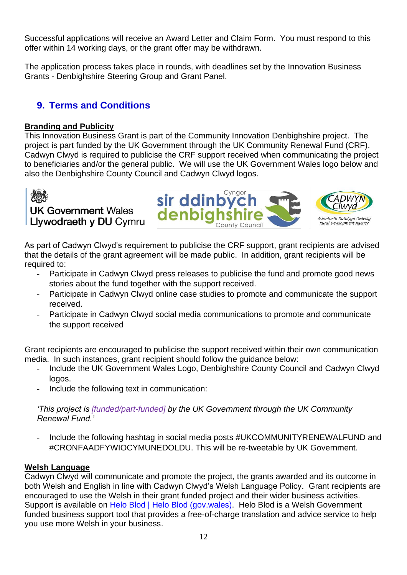Successful applications will receive an Award Letter and Claim Form. You must respond to this offer within 14 working days, or the grant offer may be withdrawn.

The application process takes place in rounds, with deadlines set by the Innovation Business Grants - Denbighshire Steering Group and Grant Panel.

# **9. Terms and Conditions**

#### **Branding and Publicity**

This Innovation Business Grant is part of the Community Innovation Denbighshire project. The project is part funded by the UK Government through the UK Community Renewal Fund (CRF). Cadwyn Clwyd is required to publicise the CRF support received when communicating the project to beneficiaries and/or the general public. We will use the UK Government Wales logo below and also the Denbighshire County Council and Cadwyn Clwyd logos.



As part of Cadwyn Clwyd's requirement to publicise the CRF support, grant recipients are advised that the details of the grant agreement will be made public. In addition, grant recipients will be required to:

- Participate in Cadwyn Clwyd press releases to publicise the fund and promote good news stories about the fund together with the support received.
- Participate in Cadwyn Clwyd online case studies to promote and communicate the support received.
- Participate in Cadwyn Clwyd social media communications to promote and communicate the support received

Grant recipients are encouraged to publicise the support received within their own communication media. In such instances, grant recipient should follow the guidance below:

- Include the UK Government Wales Logo, Denbighshire County Council and Cadwyn Clwyd logos.
- Include the following text in communication:

#### *'This project is [funded/part-funded] by the UK Government through the UK Community Renewal Fund.'*

- Include the following hashtag in social media posts #UKCOMMUNITYRENEWALFUND and #CRONFAADFYWIOCYMUNEDOLDU. This will be re-tweetable by UK Government.

#### **Welsh Language**

Cadwyn Clwyd will communicate and promote the project, the grants awarded and its outcome in both Welsh and English in line with Cadwyn Clwyd's Welsh Language Policy. Grant recipients are encouraged to use the Welsh in their grant funded project and their wider business activities. Support is available on [Helo Blod | Helo Blod \(gov.wales\).](https://businesswales.gov.wales/heloblod/helo-blod) Helo Blod is a Welsh Government funded business support tool that provides a free-of-charge translation and advice service to help you use more Welsh in your business.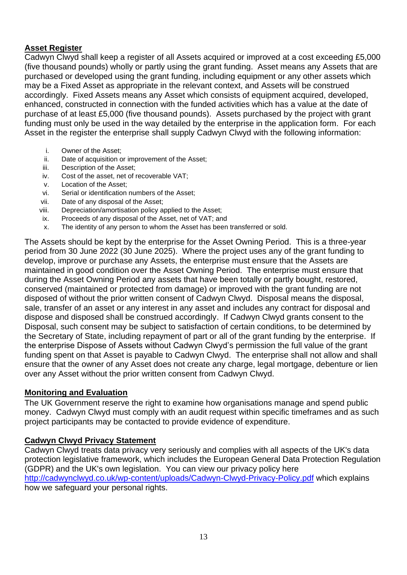#### **Asset Register**

Cadwyn Clwyd shall keep a register of all Assets acquired or improved at a cost exceeding £5,000 (five thousand pounds) wholly or partly using the grant funding. Asset means any Assets that are purchased or developed using the grant funding, including equipment or any other assets which may be a Fixed Asset as appropriate in the relevant context, and Assets will be construed accordingly. Fixed Assets means any Asset which consists of equipment acquired, developed, enhanced, constructed in connection with the funded activities which has a value at the date of purchase of at least £5,000 (five thousand pounds). Assets purchased by the project with grant funding must only be used in the way detailed by the enterprise in the application form. For each Asset in the register the enterprise shall supply Cadwyn Clwyd with the following information:

- i. Owner of the Asset;
- ii. Date of acquisition or improvement of the Asset;
- iii. Description of the Asset;
- iv. Cost of the asset, net of recoverable VAT;
- v. Location of the Asset;
- vi. Serial or identification numbers of the Asset;
- vii. Date of any disposal of the Asset;
- viii. Depreciation/amortisation policy applied to the Asset;
- ix. Proceeds of any disposal of the Asset, net of VAT; and
- x. The identity of any person to whom the Asset has been transferred or sold.

The Assets should be kept by the enterprise for the Asset Owning Period. This is a three-year period from 30 June 2022 (30 June 2025). Where the project uses any of the grant funding to develop, improve or purchase any Assets, the enterprise must ensure that the Assets are maintained in good condition over the Asset Owning Period. The enterprise must ensure that during the Asset Owning Period any assets that have been totally or partly bought, restored, conserved (maintained or protected from damage) or improved with the grant funding are not disposed of without the prior written consent of Cadwyn Clwyd. Disposal means the disposal, sale, transfer of an asset or any interest in any asset and includes any contract for disposal and dispose and disposed shall be construed accordingly. If Cadwyn Clwyd grants consent to the Disposal, such consent may be subject to satisfaction of certain conditions, to be determined by the Secretary of State, including repayment of part or all of the grant funding by the enterprise. If the enterprise Dispose of Assets without Cadwyn Clwyd's permission the full value of the grant funding spent on that Asset is payable to Cadwyn Clwyd. The enterprise shall not allow and shall ensure that the owner of any Asset does not create any charge, legal mortgage, debenture or lien over any Asset without the prior written consent from Cadwyn Clwyd.

#### **Monitoring and Evaluation**

The UK Government reserve the right to examine how organisations manage and spend public money. Cadwyn Clwyd must comply with an audit request within specific timeframes and as such project participants may be contacted to provide evidence of expenditure.

#### **Cadwyn Clwyd Privacy Statement**

Cadwyn Clwyd treats data privacy very seriously and complies with all aspects of the UK's data protection legislative framework, which includes the European General Data Protection Regulation (GDPR) and the UK's own legislation. You can view our privacy policy here <http://cadwynclwyd.co.uk/wp-content/uploads/Cadwyn-Clwyd-Privacy-Policy.pdf> which explains how we safeguard your personal rights.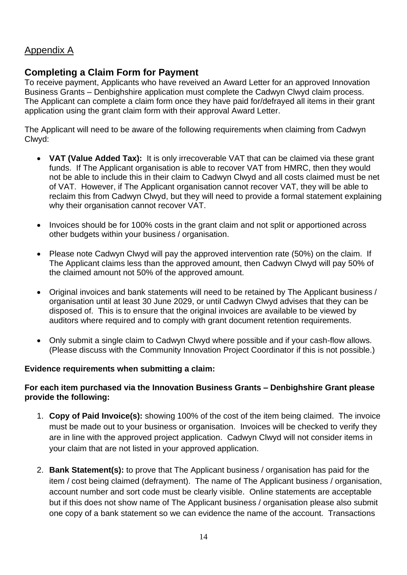# Appendix A

## **Completing a Claim Form for Payment**

To receive payment, Applicants who have reveived an Award Letter for an approved Innovation Business Grants – Denbighshire application must complete the Cadwyn Clwyd claim process. The Applicant can complete a claim form once they have paid for/defrayed all items in their grant application using the grant claim form with their approval Award Letter.

The Applicant will need to be aware of the following requirements when claiming from Cadwyn Clwyd:

- **VAT (Value Added Tax):** It is only irrecoverable VAT that can be claimed via these grant funds. If The Applicant organisation is able to recover VAT from HMRC, then they would not be able to include this in their claim to Cadwyn Clwyd and all costs claimed must be net of VAT. However, if The Applicant organisation cannot recover VAT, they will be able to reclaim this from Cadwyn Clwyd, but they will need to provide a formal statement explaining why their organisation cannot recover VAT.
- Invoices should be for 100% costs in the grant claim and not split or apportioned across other budgets within your business / organisation.
- Please note Cadwyn Clwyd will pay the approved intervention rate (50%) on the claim. If The Applicant claims less than the approved amount, then Cadwyn Clwyd will pay 50% of the claimed amount not 50% of the approved amount.
- Original invoices and bank statements will need to be retained by The Applicant business / organisation until at least 30 June 2029, or until Cadwyn Clwyd advises that they can be disposed of. This is to ensure that the original invoices are available to be viewed by auditors where required and to comply with grant document retention requirements.
- Only submit a single claim to Cadwyn Clwyd where possible and if your cash-flow allows. (Please discuss with the Community Innovation Project Coordinator if this is not possible.)

#### **Evidence requirements when submitting a claim:**

#### **For each item purchased via the Innovation Business Grants – Denbighshire Grant please provide the following:**

- 1. **Copy of Paid Invoice(s):** showing 100% of the cost of the item being claimed. The invoice must be made out to your business or organisation. Invoices will be checked to verify they are in line with the approved project application. Cadwyn Clwyd will not consider items in your claim that are not listed in your approved application.
- 2. **Bank Statement(s):** to prove that The Applicant business / organisation has paid for the item / cost being claimed (defrayment). The name of The Applicant business / organisation, account number and sort code must be clearly visible. Online statements are acceptable but if this does not show name of The Applicant business / organisation please also submit one copy of a bank statement so we can evidence the name of the account. Transactions